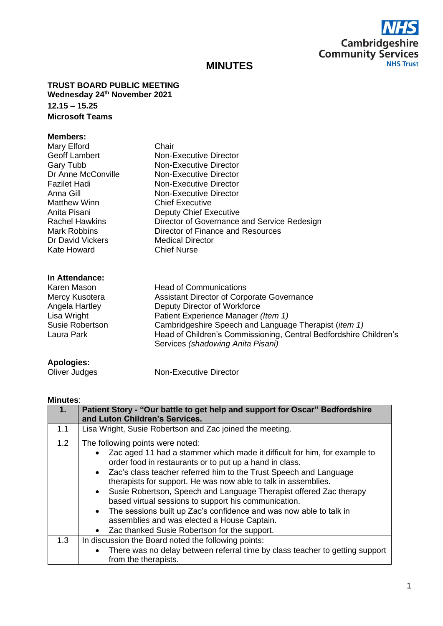

# **MINUTES**

**TRUST BOARD PUBLIC MEETING Wednesday 24th November 2021 12.15 – 15.25 Microsoft Teams**

### **Members:**

| Mary Elford           | Chair                                       |
|-----------------------|---------------------------------------------|
| <b>Geoff Lambert</b>  | <b>Non-Executive Director</b>               |
| Gary Tubb             | Non-Executive Director                      |
| Dr Anne McConville    | Non-Executive Director                      |
| <b>Fazilet Hadi</b>   | <b>Non-Executive Director</b>               |
| Anna Gill             | Non-Executive Director                      |
| Matthew Winn          | <b>Chief Executive</b>                      |
| Anita Pisani          | <b>Deputy Chief Executive</b>               |
| <b>Rachel Hawkins</b> | Director of Governance and Service Redesign |
| Mark Robbins          | Director of Finance and Resources           |
| Dr David Vickers      | <b>Medical Director</b>                     |
| Kate Howard           | <b>Chief Nurse</b>                          |
|                       |                                             |
|                       |                                             |

#### **In Attendance:**

| Karen Mason     | <b>Head of Communications</b>                                                                          |
|-----------------|--------------------------------------------------------------------------------------------------------|
| Mercy Kusotera  | Assistant Director of Corporate Governance                                                             |
| Angela Hartley  | Deputy Director of Workforce                                                                           |
| Lisa Wright     | Patient Experience Manager (Item 1)                                                                    |
| Susie Robertson | Cambridgeshire Speech and Language Therapist (item 1)                                                  |
| Laura Park      | Head of Children's Commissioning, Central Bedfordshire Children's<br>Services (shadowing Anita Pisani) |
|                 |                                                                                                        |

## **Apologies:**

| Oliver Judges | Non-Executive Director |
|---------------|------------------------|
|               |                        |

#### **Minutes**:

|     | Patient Story - "Our battle to get help and support for Oscar" Bedfordshire<br>and Luton Children's Services.                                                                                                                                                                                                                                                                                                                                                                                                                                                                                                          |
|-----|------------------------------------------------------------------------------------------------------------------------------------------------------------------------------------------------------------------------------------------------------------------------------------------------------------------------------------------------------------------------------------------------------------------------------------------------------------------------------------------------------------------------------------------------------------------------------------------------------------------------|
| 1.1 | Lisa Wright, Susie Robertson and Zac joined the meeting.                                                                                                                                                                                                                                                                                                                                                                                                                                                                                                                                                               |
| 1.2 | The following points were noted:<br>Zac aged 11 had a stammer which made it difficult for him, for example to<br>order food in restaurants or to put up a hand in class.<br>• Zac's class teacher referred him to the Trust Speech and Language<br>therapists for support. He was now able to talk in assemblies.<br>• Susie Robertson, Speech and Language Therapist offered Zac therapy<br>based virtual sessions to support his communication.<br>The sessions built up Zac's confidence and was now able to talk in<br>assemblies and was elected a House Captain.<br>Zac thanked Susie Robertson for the support. |
| 1.3 | In discussion the Board noted the following points:                                                                                                                                                                                                                                                                                                                                                                                                                                                                                                                                                                    |
|     | There was no delay between referral time by class teacher to getting support<br>from the therapists.                                                                                                                                                                                                                                                                                                                                                                                                                                                                                                                   |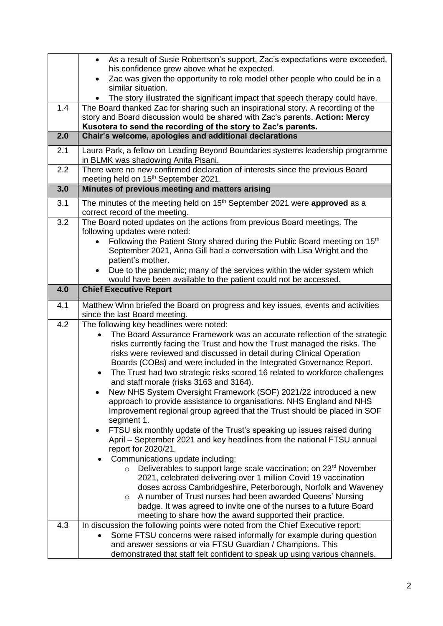|     | As a result of Susie Robertson's support, Zac's expectations were exceeded,<br>$\bullet$                                                   |
|-----|--------------------------------------------------------------------------------------------------------------------------------------------|
|     | his confidence grew above what he expected.                                                                                                |
|     | Zac was given the opportunity to role model other people who could be in a                                                                 |
|     | similar situation.                                                                                                                         |
|     | The story illustrated the significant impact that speech therapy could have.                                                               |
| 1.4 | The Board thanked Zac for sharing such an inspirational story. A recording of the                                                          |
|     | story and Board discussion would be shared with Zac's parents. Action: Mercy                                                               |
|     | Kusotera to send the recording of the story to Zac's parents.                                                                              |
| 2.0 | Chair's welcome, apologies and additional declarations                                                                                     |
|     |                                                                                                                                            |
| 2.1 | Laura Park, a fellow on Leading Beyond Boundaries systems leadership programme<br>in BLMK was shadowing Anita Pisani.                      |
| 2.2 | There were no new confirmed declaration of interests since the previous Board                                                              |
|     | meeting held on 15 <sup>th</sup> September 2021.                                                                                           |
| 3.0 | Minutes of previous meeting and matters arising                                                                                            |
|     |                                                                                                                                            |
| 3.1 | The minutes of the meeting held on 15 <sup>th</sup> September 2021 were approved as a                                                      |
|     | correct record of the meeting.                                                                                                             |
| 3.2 | The Board noted updates on the actions from previous Board meetings. The                                                                   |
|     | following updates were noted:                                                                                                              |
|     | Following the Patient Story shared during the Public Board meeting on 15 <sup>th</sup>                                                     |
|     | September 2021, Anna Gill had a conversation with Lisa Wright and the<br>patient's mother.                                                 |
|     |                                                                                                                                            |
|     | Due to the pandemic; many of the services within the wider system which<br>would have been available to the patient could not be accessed. |
| 4.0 | <b>Chief Executive Report</b>                                                                                                              |
|     |                                                                                                                                            |
| 4.1 | Matthew Winn briefed the Board on progress and key issues, events and activities                                                           |
|     | since the last Board meeting.                                                                                                              |
| 4.2 | The following key headlines were noted:                                                                                                    |
|     | The Board Assurance Framework was an accurate reflection of the strategic                                                                  |
|     | risks currently facing the Trust and how the Trust managed the risks. The                                                                  |
|     | risks were reviewed and discussed in detail during Clinical Operation                                                                      |
|     | Boards (COBs) and were included in the Integrated Governance Report.                                                                       |
|     | The Trust had two strategic risks scored 16 related to workforce challenges<br>$\bullet$<br>and staff morale (risks 3163 and 3164).        |
|     |                                                                                                                                            |
|     | New NHS System Oversight Framework (SOF) 2021/22 introduced a new<br>approach to provide assistance to organisations. NHS England and NHS  |
|     | Improvement regional group agreed that the Trust should be placed in SOF                                                                   |
|     | segment 1.                                                                                                                                 |
|     | FTSU six monthly update of the Trust's speaking up issues raised during<br>$\bullet$                                                       |
|     | April - September 2021 and key headlines from the national FTSU annual                                                                     |
|     | report for 2020/21.                                                                                                                        |
|     | Communications update including:                                                                                                           |
|     | Deliverables to support large scale vaccination; on 23rd November<br>$\circ$                                                               |
|     | 2021, celebrated delivering over 1 million Covid 19 vaccination                                                                            |
|     | doses across Cambridgeshire, Peterborough, Norfolk and Waveney                                                                             |
|     | A number of Trust nurses had been awarded Queens' Nursing<br>$\circ$                                                                       |
|     | badge. It was agreed to invite one of the nurses to a future Board                                                                         |
|     | meeting to share how the award supported their practice.                                                                                   |
| 4.3 | In discussion the following points were noted from the Chief Executive report:                                                             |
|     | Some FTSU concerns were raised informally for example during question                                                                      |
|     | and answer sessions or via FTSU Guardian / Champions. This                                                                                 |
|     | demonstrated that staff felt confident to speak up using various channels.                                                                 |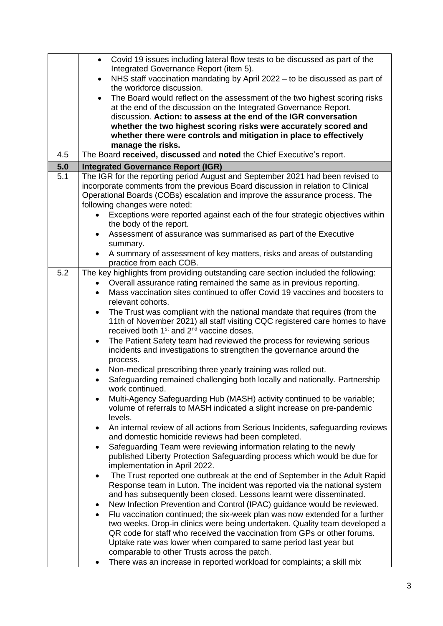|     | Covid 19 issues including lateral flow tests to be discussed as part of the                                                                                 |
|-----|-------------------------------------------------------------------------------------------------------------------------------------------------------------|
|     | Integrated Governance Report (item 5).                                                                                                                      |
|     | NHS staff vaccination mandating by April 2022 - to be discussed as part of<br>$\bullet$<br>the workforce discussion.                                        |
|     | The Board would reflect on the assessment of the two highest scoring risks<br>$\bullet$                                                                     |
|     | at the end of the discussion on the Integrated Governance Report.                                                                                           |
|     | discussion. Action: to assess at the end of the IGR conversation                                                                                            |
|     | whether the two highest scoring risks were accurately scored and                                                                                            |
|     | whether there were controls and mitigation in place to effectively                                                                                          |
|     | manage the risks.                                                                                                                                           |
| 4.5 | The Board received, discussed and noted the Chief Executive's report.                                                                                       |
| 5.0 | <b>Integrated Governance Report (IGR)</b>                                                                                                                   |
| 5.1 | The IGR for the reporting period August and September 2021 had been revised to                                                                              |
|     | incorporate comments from the previous Board discussion in relation to Clinical                                                                             |
|     | Operational Boards (COBs) escalation and improve the assurance process. The                                                                                 |
|     | following changes were noted:<br>Exceptions were reported against each of the four strategic objectives within                                              |
|     | the body of the report.                                                                                                                                     |
|     | Assessment of assurance was summarised as part of the Executive<br>$\bullet$                                                                                |
|     | summary.                                                                                                                                                    |
|     | A summary of assessment of key matters, risks and areas of outstanding                                                                                      |
|     | practice from each COB.                                                                                                                                     |
| 5.2 | The key highlights from providing outstanding care section included the following:                                                                          |
|     | Overall assurance rating remained the same as in previous reporting.                                                                                        |
|     | Mass vaccination sites continued to offer Covid 19 vaccines and boosters to<br>$\bullet$<br>relevant cohorts.                                               |
|     | The Trust was compliant with the national mandate that requires (from the<br>$\bullet$                                                                      |
|     | 11th of November 2021) all staff visiting CQC registered care homes to have                                                                                 |
|     | received both 1 <sup>st</sup> and 2 <sup>nd</sup> vaccine doses.                                                                                            |
|     | The Patient Safety team had reviewed the process for reviewing serious<br>$\bullet$                                                                         |
|     | incidents and investigations to strengthen the governance around the                                                                                        |
|     | process.                                                                                                                                                    |
|     | Non-medical prescribing three yearly training was rolled out.                                                                                               |
|     | Safeguarding remained challenging both locally and nationally. Partnership<br>$\bullet$<br>work continued.                                                  |
|     | Multi-Agency Safeguarding Hub (MASH) activity continued to be variable;                                                                                     |
|     | volume of referrals to MASH indicated a slight increase on pre-pandemic<br>levels.                                                                          |
|     | An internal review of all actions from Serious Incidents, safeguarding reviews                                                                              |
|     | and domestic homicide reviews had been completed.                                                                                                           |
|     | Safeguarding Team were reviewing information relating to the newly<br>$\bullet$                                                                             |
|     | published Liberty Protection Safeguarding process which would be due for                                                                                    |
|     | implementation in April 2022.                                                                                                                               |
|     | The Trust reported one outbreak at the end of September in the Adult Rapid<br>$\bullet$                                                                     |
|     | Response team in Luton. The incident was reported via the national system                                                                                   |
|     | and has subsequently been closed. Lessons learnt were disseminated.                                                                                         |
|     | New Infection Prevention and Control (IPAC) guidance would be reviewed.<br>٠<br>Flu vaccination continued; the six-week plan was now extended for a further |
|     | ٠<br>two weeks. Drop-in clinics were being undertaken. Quality team developed a                                                                             |
|     | QR code for staff who received the vaccination from GPs or other forums.                                                                                    |
|     | Uptake rate was lower when compared to same period last year but                                                                                            |
|     | comparable to other Trusts across the patch.                                                                                                                |
|     | There was an increase in reported workload for complaints; a skill mix                                                                                      |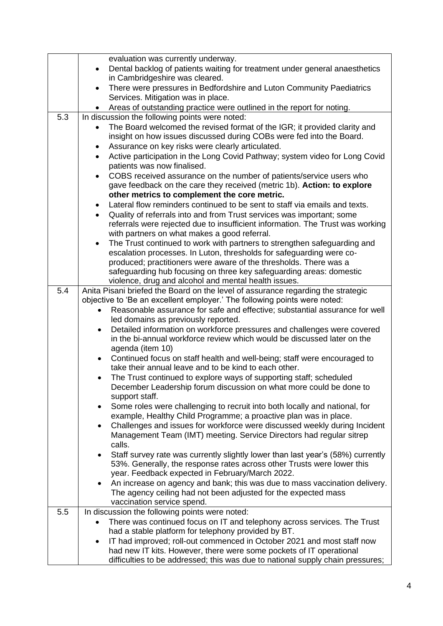|     | evaluation was currently underway.                                                                                                                        |
|-----|-----------------------------------------------------------------------------------------------------------------------------------------------------------|
|     | Dental backlog of patients waiting for treatment under general anaesthetics<br>$\bullet$                                                                  |
|     | in Cambridgeshire was cleared.                                                                                                                            |
|     | There were pressures in Bedfordshire and Luton Community Paediatrics                                                                                      |
|     | Services. Mitigation was in place.                                                                                                                        |
|     | Areas of outstanding practice were outlined in the report for noting.                                                                                     |
| 5.3 | In discussion the following points were noted:                                                                                                            |
|     | The Board welcomed the revised format of the IGR; it provided clarity and                                                                                 |
|     | insight on how issues discussed during COBs were fed into the Board.                                                                                      |
|     | Assurance on key risks were clearly articulated.                                                                                                          |
|     | Active participation in the Long Covid Pathway; system video for Long Covid                                                                               |
|     | patients was now finalised.                                                                                                                               |
|     | COBS received assurance on the number of patients/service users who<br>$\bullet$                                                                          |
|     | gave feedback on the care they received (metric 1b). Action: to explore<br>other metrics to complement the core metric.                                   |
|     | Lateral flow reminders continued to be sent to staff via emails and texts.                                                                                |
|     | Quality of referrals into and from Trust services was important; some<br>$\bullet$                                                                        |
|     | referrals were rejected due to insufficient information. The Trust was working                                                                            |
|     | with partners on what makes a good referral.                                                                                                              |
|     | The Trust continued to work with partners to strengthen safeguarding and<br>$\bullet$                                                                     |
|     | escalation processes. In Luton, thresholds for safeguarding were co-                                                                                      |
|     | produced; practitioners were aware of the thresholds. There was a                                                                                         |
|     | safeguarding hub focusing on three key safeguarding areas: domestic                                                                                       |
|     | violence, drug and alcohol and mental health issues.                                                                                                      |
| 5.4 | Anita Pisani briefed the Board on the level of assurance regarding the strategic                                                                          |
|     | objective to 'Be an excellent employer.' The following points were noted:                                                                                 |
|     | Reasonable assurance for safe and effective; substantial assurance for well                                                                               |
|     | led domains as previously reported.                                                                                                                       |
|     | Detailed information on workforce pressures and challenges were covered<br>٠                                                                              |
|     | in the bi-annual workforce review which would be discussed later on the                                                                                   |
|     | agenda (item 10)                                                                                                                                          |
|     | Continued focus on staff health and well-being; staff were encouraged to<br>$\bullet$<br>take their annual leave and to be kind to each other.            |
|     | The Trust continued to explore ways of supporting staff; scheduled                                                                                        |
|     | December Leadership forum discussion on what more could be done to                                                                                        |
|     | support staff.                                                                                                                                            |
|     | Some roles were challenging to recruit into both locally and national, for                                                                                |
|     | example, Healthy Child Programme; a proactive plan was in place.                                                                                          |
|     | Challenges and issues for workforce were discussed weekly during Incident<br>$\bullet$                                                                    |
|     | Management Team (IMT) meeting. Service Directors had regular sitrep                                                                                       |
|     | calls.                                                                                                                                                    |
|     | Staff survey rate was currently slightly lower than last year's (58%) currently<br>53%. Generally, the response rates across other Trusts were lower this |
|     | year. Feedback expected in February/March 2022.                                                                                                           |
|     | An increase on agency and bank; this was due to mass vaccination delivery.                                                                                |
|     | The agency ceiling had not been adjusted for the expected mass                                                                                            |
|     | vaccination service spend.                                                                                                                                |
| 5.5 | In discussion the following points were noted:                                                                                                            |
|     | There was continued focus on IT and telephony across services. The Trust                                                                                  |
|     | had a stable platform for telephony provided by BT.                                                                                                       |
|     | IT had improved; roll-out commenced in October 2021 and most staff now<br>$\bullet$                                                                       |
|     | had new IT kits. However, there were some pockets of IT operational                                                                                       |
|     | difficulties to be addressed; this was due to national supply chain pressures;                                                                            |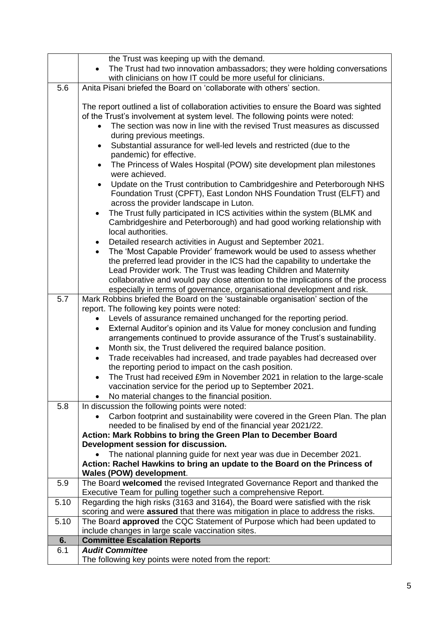| The Trust had two innovation ambassadors; they were holding conversations<br>with clinicians on how IT could be more useful for clinicians.<br>5.6<br>Anita Pisani briefed the Board on 'collaborate with others' section. |  |
|----------------------------------------------------------------------------------------------------------------------------------------------------------------------------------------------------------------------------|--|
|                                                                                                                                                                                                                            |  |
|                                                                                                                                                                                                                            |  |
|                                                                                                                                                                                                                            |  |
|                                                                                                                                                                                                                            |  |
| The report outlined a list of collaboration activities to ensure the Board was sighted                                                                                                                                     |  |
| of the Trust's involvement at system level. The following points were noted:                                                                                                                                               |  |
| The section was now in line with the revised Trust measures as discussed                                                                                                                                                   |  |
| during previous meetings.                                                                                                                                                                                                  |  |
| Substantial assurance for well-led levels and restricted (due to the<br>$\bullet$                                                                                                                                          |  |
| pandemic) for effective.<br>The Princess of Wales Hospital (POW) site development plan milestones                                                                                                                          |  |
| were achieved.                                                                                                                                                                                                             |  |
| Update on the Trust contribution to Cambridgeshire and Peterborough NHS                                                                                                                                                    |  |
| Foundation Trust (CPFT), East London NHS Foundation Trust (ELFT) and                                                                                                                                                       |  |
| across the provider landscape in Luton.                                                                                                                                                                                    |  |
| The Trust fully participated in ICS activities within the system (BLMK and                                                                                                                                                 |  |
| Cambridgeshire and Peterborough) and had good working relationship with                                                                                                                                                    |  |
| local authorities.                                                                                                                                                                                                         |  |
| Detailed research activities in August and September 2021.                                                                                                                                                                 |  |
| The 'Most Capable Provider' framework would be used to assess whether                                                                                                                                                      |  |
| the preferred lead provider in the ICS had the capability to undertake the                                                                                                                                                 |  |
| Lead Provider work. The Trust was leading Children and Maternity                                                                                                                                                           |  |
| collaborative and would pay close attention to the implications of the process                                                                                                                                             |  |
| especially in terms of governance, organisational development and risk.                                                                                                                                                    |  |
| 5.7<br>Mark Robbins briefed the Board on the 'sustainable organisation' section of the                                                                                                                                     |  |
| report. The following key points were noted:                                                                                                                                                                               |  |
| Levels of assurance remained unchanged for the reporting period.                                                                                                                                                           |  |
| External Auditor's opinion and its Value for money conclusion and funding<br>$\bullet$                                                                                                                                     |  |
| arrangements continued to provide assurance of the Trust's sustainability.<br>Month six, the Trust delivered the required balance position.                                                                                |  |
| ٠<br>Trade receivables had increased, and trade payables had decreased over                                                                                                                                                |  |
| $\bullet$<br>the reporting period to impact on the cash position.                                                                                                                                                          |  |
| The Trust had received £9m in November 2021 in relation to the large-scale                                                                                                                                                 |  |
| vaccination service for the period up to September 2021.                                                                                                                                                                   |  |
| No material changes to the financial position.                                                                                                                                                                             |  |
| 5.8<br>In discussion the following points were noted:                                                                                                                                                                      |  |
| Carbon footprint and sustainability were covered in the Green Plan. The plan                                                                                                                                               |  |
| needed to be finalised by end of the financial year 2021/22.                                                                                                                                                               |  |
| Action: Mark Robbins to bring the Green Plan to December Board                                                                                                                                                             |  |
| Development session for discussion.                                                                                                                                                                                        |  |
| The national planning guide for next year was due in December 2021.                                                                                                                                                        |  |
| Action: Rachel Hawkins to bring an update to the Board on the Princess of                                                                                                                                                  |  |
| Wales (POW) development.                                                                                                                                                                                                   |  |
| The Board welcomed the revised Integrated Governance Report and thanked the<br>5.9                                                                                                                                         |  |
| Executive Team for pulling together such a comprehensive Report.                                                                                                                                                           |  |
| Regarding the high risks (3163 and 3164), the Board were satisfied with the risk<br>5.10                                                                                                                                   |  |
| scoring and were assured that there was mitigation in place to address the risks.<br>The Board approved the CQC Statement of Purpose which had been updated to<br>5.10                                                     |  |
| include changes in large scale vaccination sites.                                                                                                                                                                          |  |
| <b>Committee Escalation Reports</b><br>6.                                                                                                                                                                                  |  |
| 6.1<br><b>Audit Committee</b>                                                                                                                                                                                              |  |
| The following key points were noted from the report:                                                                                                                                                                       |  |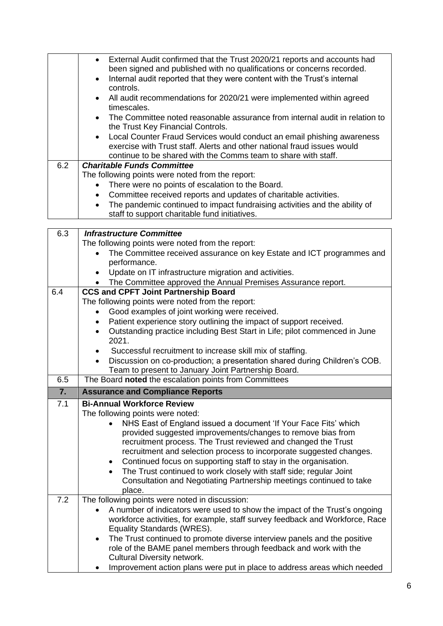|     | External Audit confirmed that the Trust 2020/21 reports and accounts had<br>$\bullet$<br>been signed and published with no qualifications or concerns recorded. |
|-----|-----------------------------------------------------------------------------------------------------------------------------------------------------------------|
|     | Internal audit reported that they were content with the Trust's internal<br>$\bullet$<br>controls.                                                              |
|     | All audit recommendations for 2020/21 were implemented within agreed<br>$\bullet$<br>timescales.                                                                |
|     | The Committee noted reasonable assurance from internal audit in relation to<br>$\bullet$<br>the Trust Key Financial Controls.                                   |
|     | Local Counter Fraud Services would conduct an email phishing awareness<br>$\bullet$                                                                             |
|     | exercise with Trust staff. Alerts and other national fraud issues would                                                                                         |
|     | continue to be shared with the Comms team to share with staff.                                                                                                  |
| 6.2 | <b>Charitable Funds Committee</b>                                                                                                                               |
|     | The following points were noted from the report:                                                                                                                |
|     | There were no points of escalation to the Board.                                                                                                                |
|     | Committee received reports and updates of charitable activities.<br>$\bullet$                                                                                   |
|     | The pandemic continued to impact fundraising activities and the ability of<br>$\bullet$                                                                         |
|     | staff to support charitable fund initiatives.                                                                                                                   |
|     |                                                                                                                                                                 |
| R 2 | Infractructura Committoo                                                                                                                                        |

| 6.3 | <b>Infrastructure Committee</b>                                                                            |
|-----|------------------------------------------------------------------------------------------------------------|
|     | The following points were noted from the report:                                                           |
|     | The Committee received assurance on key Estate and ICT programmes and                                      |
|     | performance.                                                                                               |
|     | Update on IT infrastructure migration and activities.                                                      |
|     | The Committee approved the Annual Premises Assurance report.                                               |
| 6.4 | <b>CCS and CPFT Joint Partnership Board</b>                                                                |
|     | The following points were noted from the report:                                                           |
|     | Good examples of joint working were received.                                                              |
|     | Patient experience story outlining the impact of support received.                                         |
|     | Outstanding practice including Best Start in Life; pilot commenced in June<br>$\bullet$<br>2021.           |
|     | Successful recruitment to increase skill mix of staffing.                                                  |
|     | Discussion on co-production; a presentation shared during Children's COB.                                  |
|     | Team to present to January Joint Partnership Board.                                                        |
| 6.5 | The Board noted the escalation points from Committees                                                      |
| 7.  | <b>Assurance and Compliance Reports</b>                                                                    |
|     |                                                                                                            |
| 7.1 | <b>Bi-Annual Workforce Review</b>                                                                          |
|     | The following points were noted:                                                                           |
|     | NHS East of England issued a document 'If Your Face Fits' which                                            |
|     | provided suggested improvements/changes to remove bias from                                                |
|     | recruitment process. The Trust reviewed and changed the Trust                                              |
|     | recruitment and selection process to incorporate suggested changes.                                        |
|     | Continued focus on supporting staff to stay in the organisation.<br>$\bullet$                              |
|     | The Trust continued to work closely with staff side; regular Joint                                         |
|     | Consultation and Negotiating Partnership meetings continued to take                                        |
|     | place.                                                                                                     |
| 7.2 | The following points were noted in discussion:                                                             |
|     | A number of indicators were used to show the impact of the Trust's ongoing                                 |
|     | workforce activities, for example, staff survey feedback and Workforce, Race<br>Equality Standards (WRES). |
|     | The Trust continued to promote diverse interview panels and the positive<br>$\bullet$                      |
|     | role of the BAME panel members through feedback and work with the                                          |
|     | <b>Cultural Diversity network.</b>                                                                         |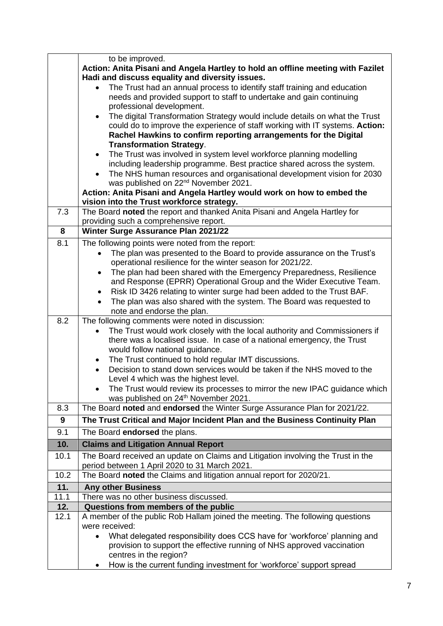|      | to be improved.                                                                                                                                   |
|------|---------------------------------------------------------------------------------------------------------------------------------------------------|
|      | Action: Anita Pisani and Angela Hartley to hold an offline meeting with Fazilet                                                                   |
|      | Hadi and discuss equality and diversity issues.                                                                                                   |
|      | The Trust had an annual process to identify staff training and education                                                                          |
|      | needs and provided support to staff to undertake and gain continuing                                                                              |
|      | professional development.                                                                                                                         |
|      | The digital Transformation Strategy would include details on what the Trust<br>$\bullet$                                                          |
|      | could do to improve the experience of staff working with IT systems. Action:                                                                      |
|      | Rachel Hawkins to confirm reporting arrangements for the Digital                                                                                  |
|      | <b>Transformation Strategy.</b>                                                                                                                   |
|      | The Trust was involved in system level workforce planning modelling<br>$\bullet$                                                                  |
|      | including leadership programme. Best practice shared across the system.                                                                           |
|      | The NHS human resources and organisational development vision for 2030                                                                            |
|      | was published on 22 <sup>nd</sup> November 2021.                                                                                                  |
|      | Action: Anita Pisani and Angela Hartley would work on how to embed the                                                                            |
| 7.3  | vision into the Trust workforce strategy.<br>The Board noted the report and thanked Anita Pisani and Angela Hartley for                           |
|      | providing such a comprehensive report.                                                                                                            |
| 8    | Winter Surge Assurance Plan 2021/22                                                                                                               |
| 8.1  |                                                                                                                                                   |
|      | The following points were noted from the report:                                                                                                  |
|      | The plan was presented to the Board to provide assurance on the Trust's<br>$\bullet$<br>operational resilience for the winter season for 2021/22. |
|      | The plan had been shared with the Emergency Preparedness, Resilience<br>$\bullet$                                                                 |
|      | and Response (EPRR) Operational Group and the Wider Executive Team.                                                                               |
|      | Risk ID 3426 relating to winter surge had been added to the Trust BAF.<br>$\bullet$                                                               |
|      | The plan was also shared with the system. The Board was requested to                                                                              |
|      | note and endorse the plan.                                                                                                                        |
| 8.2  | The following comments were noted in discussion:                                                                                                  |
|      | The Trust would work closely with the local authority and Commissioners if                                                                        |
|      | there was a localised issue. In case of a national emergency, the Trust                                                                           |
|      | would follow national guidance.                                                                                                                   |
|      | The Trust continued to hold regular IMT discussions.                                                                                              |
|      | Decision to stand down services would be taken if the NHS moved to the                                                                            |
|      | Level 4 which was the highest level.                                                                                                              |
|      | The Trust would review its processes to mirror the new IPAC quidance which                                                                        |
|      | was published on 24 <sup>th</sup> November 2021.                                                                                                  |
| 8.3  | The Board noted and endorsed the Winter Surge Assurance Plan for 2021/22.                                                                         |
| 9    | The Trust Critical and Major Incident Plan and the Business Continuity Plan                                                                       |
| 9.1  | The Board endorsed the plans.                                                                                                                     |
| 10.  | <b>Claims and Litigation Annual Report</b>                                                                                                        |
| 10.1 | The Board received an update on Claims and Litigation involving the Trust in the                                                                  |
|      | period between 1 April 2020 to 31 March 2021.                                                                                                     |
| 10.2 | The Board noted the Claims and litigation annual report for 2020/21.                                                                              |
| 11.  | <b>Any other Business</b>                                                                                                                         |
| 11.1 | There was no other business discussed.                                                                                                            |
| 12.  | Questions from members of the public                                                                                                              |
| 12.1 | A member of the public Rob Hallam joined the meeting. The following questions                                                                     |
|      | were received:                                                                                                                                    |
|      | What delegated responsibility does CCS have for 'workforce' planning and<br>$\bullet$                                                             |
|      | provision to support the effective running of NHS approved vaccination                                                                            |
|      | centres in the region?                                                                                                                            |
|      | How is the current funding investment for 'workforce' support spread                                                                              |